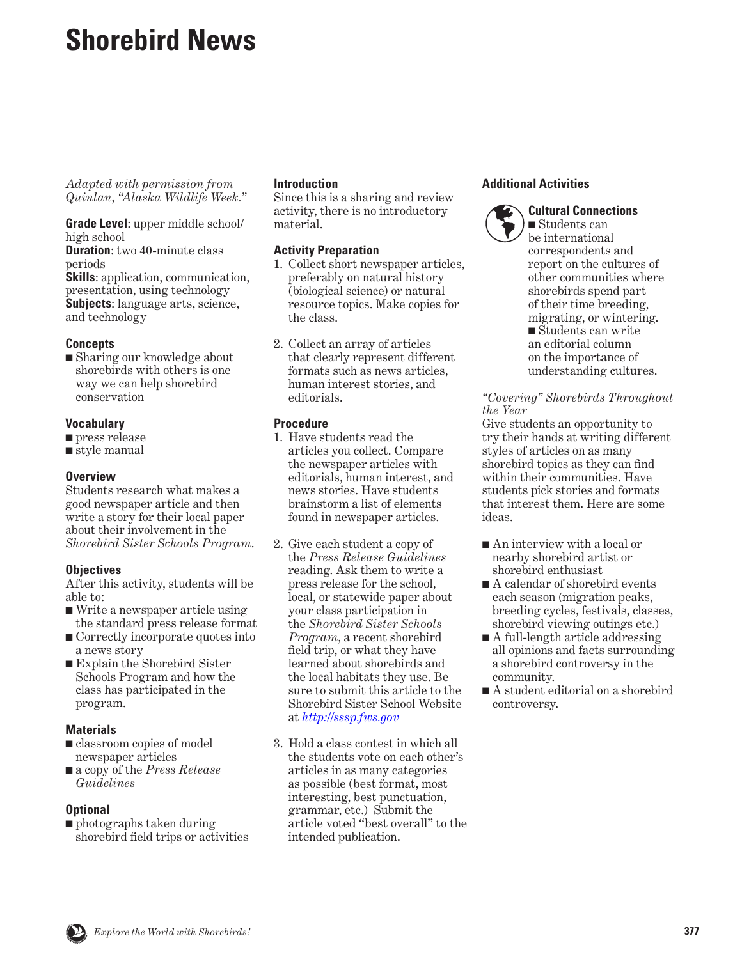# **Shorebird News**

*Adapted with permission from Quinlan, "Alaska Wildlife Week."*

**Grade Level**: upper middle school/ high school

**Duration**: two 40-minute class periods

**Skills**: application, communication, presentation, using technology **Subjects**: language arts, science, and technology

# **Concepts**

■ Sharing our knowledge about shorebirds with others is one way we can help shorebird conservation

#### **Vocabulary**

- press release
- style manual

#### **Overview**

Students research what makes a good newspaper article and then write a story for their local paper about their involvement in the *Shorebird Sister Schools Program*.

# **Objectives**

After this activity, students will be able to:

- Write a newspaper article using the standard press release format
- Correctly incorporate quotes into a news story
- Explain the Shorebird Sister Schools Program and how the class has participated in the program.

# **Materials**

- classroom copies of model newspaper articles
- a copy of the *Press Release Guidelines*

# **Optional**

■ photographs taken during shorebird field trips or activities

#### **Introduction**

Since this is a sharing and review activity, there is no introductory material.

# **Activity Preparation**

- 1. Collect short newspaper articles, preferably on natural history (biological science) or natural resource topics. Make copies for the class.
- 2. Collect an array of articles that clearly represent different formats such as news articles, human interest stories, and editorials.

# **Procedure**

- 1. Have students read the articles you collect. Compare the newspaper articles with editorials, human interest, and news stories. Have students brainstorm a list of elements found in newspaper articles.
- 2. Give each student a copy of the *Press Release Guidelines* reading. Ask them to write a press release for the school, local, or statewide paper about your class participation in the *Shorebird Sister Schools Program*, a recent shorebird field trip, or what they have learned about shorebirds and the local habitats they use. Be sure to submit this article to the Shorebird Sister School Website at *<http://sssp.fws.gov>*
- 3. Hold a class contest in which all the students vote on each other's articles in as many categories as possible (best format, most interesting, best punctuation, grammar, etc.) Submit the article voted "best overall" to the intended publication.

# **Additional Activities**



**Cultural Connections** ■ Students can be international correspondents and report on the cultures of other communities where shorebirds spend part of their time breeding, migrating, or wintering. ■ Students can write an editorial column on the importance of understanding cultures.

#### *"Covering" Shorebirds Throughout the Year*

Give students an opportunity to try their hands at writing different styles of articles on as many shorebird topics as they can find within their communities. Have students pick stories and formats that interest them. Here are some ideas.

- An interview with a local or nearby shorebird artist or shorebird enthusiast
- A calendar of shorebird events each season (migration peaks, breeding cycles, festivals, classes, shorebird viewing outings etc.)
- A full-length article addressing all opinions and facts surrounding a shorebird controversy in the community.
- A student editorial on a shorebird controversy.